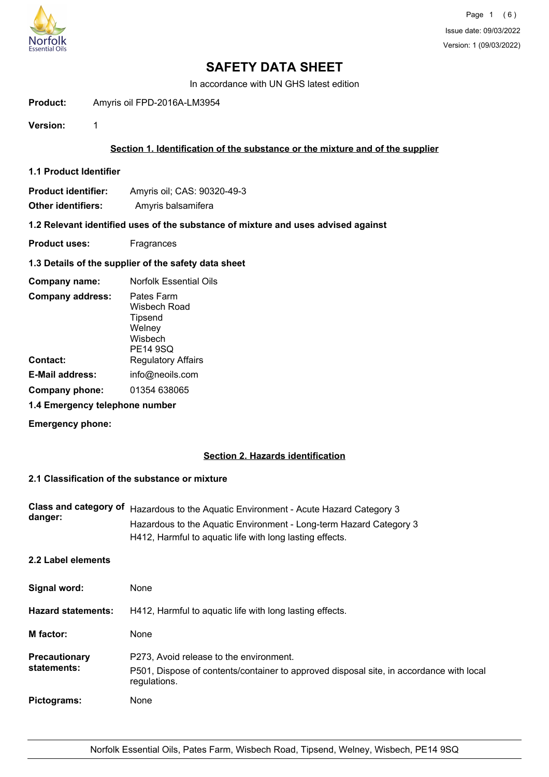

In accordance with UN GHS latest edition

**Product:** Amyris oil FPD-2016A-LM3954

**Version:** 1

## **Section 1. Identification of the substance or the mixture and of the supplier**

- **1.1 Product Identifier**
- **Product identifier:** Amyris oil; CAS: 90320-49-3
- **Other identifiers:** Amyris balsamifera

## **1.2 Relevant identified uses of the substance of mixture and uses advised against**

- **Product uses:** Fragrances
- **1.3 Details of the supplier of the safety data sheet**

| Company name:                  | <b>Norfolk Essential Oils</b>                                                 |
|--------------------------------|-------------------------------------------------------------------------------|
| <b>Company address:</b>        | Pates Farm<br>Wisbech Road<br>Tipsend<br>Welney<br>Wisbech<br><b>PE14 9SQ</b> |
| Contact:                       | <b>Regulatory Affairs</b>                                                     |
| <b>E-Mail address:</b>         | info@neoils.com                                                               |
| Company phone:                 | 01354 638065                                                                  |
| 1.4 Emergency telephone number |                                                                               |

**Emergency phone:**

## **Section 2. Hazards identification**

## **2.1 Classification of the substance or mixture**

|         | Class and category of Hazardous to the Aquatic Environment - Acute Hazard Category 3 |
|---------|--------------------------------------------------------------------------------------|
| danger: | Hazardous to the Aquatic Environment - Long-term Hazard Category 3                   |
|         | H412, Harmful to aquatic life with long lasting effects.                             |

**2.2 Label elements**

| Signal word:                 | None                                                                                                                                               |
|------------------------------|----------------------------------------------------------------------------------------------------------------------------------------------------|
| <b>Hazard statements:</b>    | H412, Harmful to aquatic life with long lasting effects.                                                                                           |
| M factor:                    | None                                                                                                                                               |
| Precautionary<br>statements: | P273, Avoid release to the environment.<br>P501, Dispose of contents/container to approved disposal site, in accordance with local<br>regulations. |
| Pictograms:                  | None                                                                                                                                               |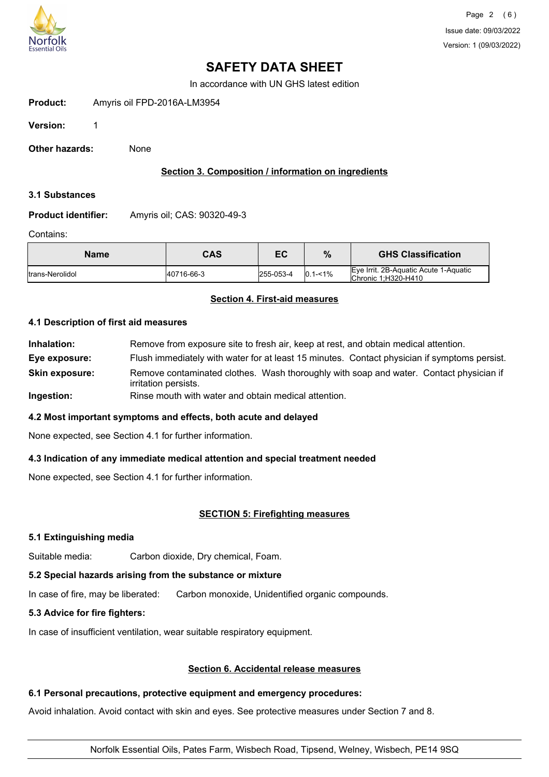

In accordance with UN GHS latest edition

| Product: | Amyris oil FPD-2016A-LM3954 |
|----------|-----------------------------|
|          |                             |

**Version:** 1

**Other hazards:** None

## **Section 3. Composition / information on ingredients**

#### **3.1 Substances**

**Product identifier:** Amyris oil; CAS: 90320-49-3

#### Contains:

| <b>Name</b>             | CAS        | ЕC        | %             | <b>GHS Classification</b>                                    |
|-------------------------|------------|-----------|---------------|--------------------------------------------------------------|
| <b>Itrans-Nerolidol</b> | 40716-66-3 | 255-053-4 | $ 0.1 - 1\% $ | Eve Irrit, 2B-Aquatic Acute 1-Aquatic<br>Chronic 1:H320-H410 |

## **Section 4. First-aid measures**

### **4.1 Description of first aid measures**

**Inhalation:** Remove from exposure site to fresh air, keep at rest, and obtain medical attention. **Eye exposure:** Flush immediately with water for at least 15 minutes. Contact physician if symptoms persist. Remove contaminated clothes. Wash thoroughly with soap and water. Contact physician if irritation persists. **Skin exposure: Ingestion:** Rinse mouth with water and obtain medical attention.

## **4.2 Most important symptoms and effects, both acute and delayed**

None expected, see Section 4.1 for further information.

## **4.3 Indication of any immediate medical attention and special treatment needed**

None expected, see Section 4.1 for further information.

## **SECTION 5: Firefighting measures**

## **5.1 Extinguishing media**

Suitable media: Carbon dioxide, Dry chemical, Foam.

## **5.2 Special hazards arising from the substance or mixture**

In case of fire, may be liberated: Carbon monoxide, Unidentified organic compounds.

## **5.3 Advice for fire fighters:**

In case of insufficient ventilation, wear suitable respiratory equipment.

## **Section 6. Accidental release measures**

## **6.1 Personal precautions, protective equipment and emergency procedures:**

Avoid inhalation. Avoid contact with skin and eyes. See protective measures under Section 7 and 8.

## Norfolk Essential Oils, Pates Farm, Wisbech Road, Tipsend, Welney, Wisbech, PE14 9SQ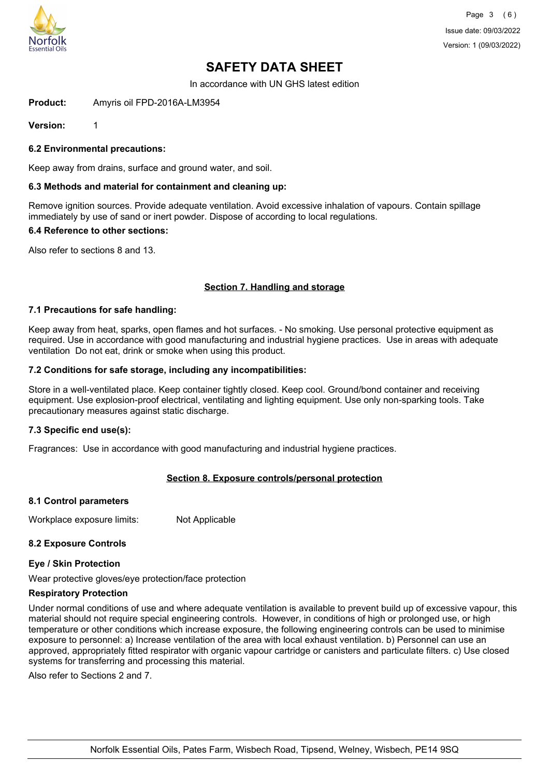

In accordance with UN GHS latest edition

**Product:** Amyris oil FPD-2016A-LM3954

**Version:** 1

**6.2 Environmental precautions:**

Keep away from drains, surface and ground water, and soil.

#### **6.3 Methods and material for containment and cleaning up:**

Remove ignition sources. Provide adequate ventilation. Avoid excessive inhalation of vapours. Contain spillage immediately by use of sand or inert powder. Dispose of according to local regulations.

#### **6.4 Reference to other sections:**

Also refer to sections 8 and 13.

## **Section 7. Handling and storage**

#### **7.1 Precautions for safe handling:**

Keep away from heat, sparks, open flames and hot surfaces. - No smoking. Use personal protective equipment as required. Use in accordance with good manufacturing and industrial hygiene practices. Use in areas with adequate ventilation Do not eat, drink or smoke when using this product.

#### **7.2 Conditions for safe storage, including any incompatibilities:**

Store in a well-ventilated place. Keep container tightly closed. Keep cool. Ground/bond container and receiving equipment. Use explosion-proof electrical, ventilating and lighting equipment. Use only non-sparking tools. Take precautionary measures against static discharge.

#### **7.3 Specific end use(s):**

Fragrances: Use in accordance with good manufacturing and industrial hygiene practices.

## **Section 8. Exposure controls/personal protection**

#### **8.1 Control parameters**

Workplace exposure limits: Not Applicable

## **8.2 Exposure Controls**

#### **Eye / Skin Protection**

Wear protective gloves/eye protection/face protection

#### **Respiratory Protection**

Under normal conditions of use and where adequate ventilation is available to prevent build up of excessive vapour, this material should not require special engineering controls. However, in conditions of high or prolonged use, or high temperature or other conditions which increase exposure, the following engineering controls can be used to minimise exposure to personnel: a) Increase ventilation of the area with local exhaust ventilation. b) Personnel can use an approved, appropriately fitted respirator with organic vapour cartridge or canisters and particulate filters. c) Use closed systems for transferring and processing this material.

Also refer to Sections 2 and 7.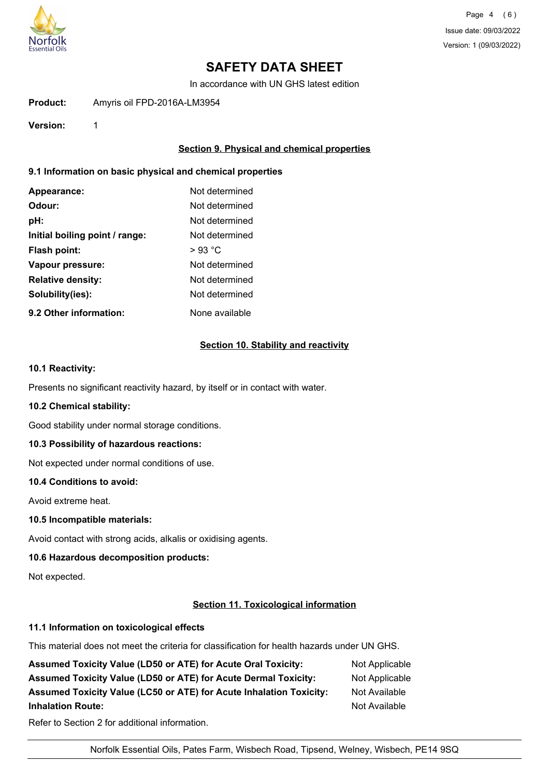

Page 4 (6) Issue date: 09/03/2022 Version: 1 (09/03/2022)

# **SAFETY DATA SHEET**

In accordance with UN GHS latest edition

**Product:** Amyris oil FPD-2016A-LM3954

**Version:** 1

## **Section 9. Physical and chemical properties**

## **9.1 Information on basic physical and chemical properties**

| Appearance:                    | Not determined |
|--------------------------------|----------------|
| Odour:                         | Not determined |
| pH:                            | Not determined |
| Initial boiling point / range: | Not determined |
| <b>Flash point:</b>            | $>93$ °C       |
| Vapour pressure:               | Not determined |
| <b>Relative density:</b>       | Not determined |
| Solubility(ies):               | Not determined |
| 9.2 Other information:         | None available |

#### **Section 10. Stability and reactivity**

## **10.1 Reactivity:**

Presents no significant reactivity hazard, by itself or in contact with water.

#### **10.2 Chemical stability:**

Good stability under normal storage conditions.

## **10.3 Possibility of hazardous reactions:**

Not expected under normal conditions of use.

#### **10.4 Conditions to avoid:**

Avoid extreme heat.

#### **10.5 Incompatible materials:**

Avoid contact with strong acids, alkalis or oxidising agents.

## **10.6 Hazardous decomposition products:**

Not expected.

## **Section 11. Toxicological information**

#### **11.1 Information on toxicological effects**

This material does not meet the criteria for classification for health hazards under UN GHS.

| <b>Assumed Toxicity Value (LD50 or ATE) for Acute Oral Toxicity:</b> | Not Applicable |
|----------------------------------------------------------------------|----------------|
| Assumed Toxicity Value (LD50 or ATE) for Acute Dermal Toxicity:      | Not Applicable |
| Assumed Toxicity Value (LC50 or ATE) for Acute Inhalation Toxicity:  | Not Available  |
| <b>Inhalation Route:</b>                                             | Not Available  |
|                                                                      |                |

Refer to Section 2 for additional information.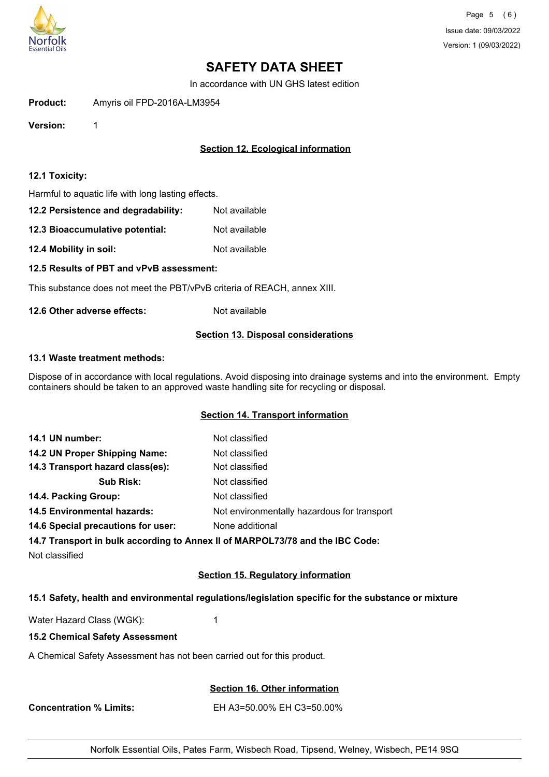

In accordance with UN GHS latest edition

**Product:** Amyris oil FPD-2016A-LM3954

**Version:** 1

## **Section 12. Ecological information**

#### **12.1 Toxicity:**

Harmful to aquatic life with long lasting effects.

| 12.2 Persistence and degradability: | Not available |
|-------------------------------------|---------------|
|-------------------------------------|---------------|

**12.3 Bioaccumulative potential:** Not available

**12.4 Mobility in soil:** Not available

**12.5 Results of PBT and vPvB assessment:**

This substance does not meet the PBT/vPvB criteria of REACH, annex XIII.

**12.6 Other adverse effects:** Not available

#### **Section 13. Disposal considerations**

#### **13.1 Waste treatment methods:**

Dispose of in accordance with local regulations. Avoid disposing into drainage systems and into the environment. Empty containers should be taken to an approved waste handling site for recycling or disposal.

## **Section 14. Transport information**

| 14.1 UN number:                    | Not classified                              |
|------------------------------------|---------------------------------------------|
| 14.2 UN Proper Shipping Name:      | Not classified                              |
| 14.3 Transport hazard class(es):   | Not classified                              |
| <b>Sub Risk:</b>                   | Not classified                              |
| 14.4. Packing Group:               | Not classified                              |
| <b>14.5 Environmental hazards:</b> | Not environmentally hazardous for transport |
| 14.6 Special precautions for user: | None additional                             |
|                                    |                                             |

**14.7 Transport in bulk according to Annex II of MARPOL73/78 and the IBC Code:**

Not classified

## **Section 15. Regulatory information**

## **15.1 Safety, health and environmental regulations/legislation specific for the substance or mixture**

Water Hazard Class (WGK): 1

#### **15.2 Chemical Safety Assessment**

A Chemical Safety Assessment has not been carried out for this product.

**Section 16. Other information**

**Concentration % Limits:** EH A3=50.00% EH C3=50.00%